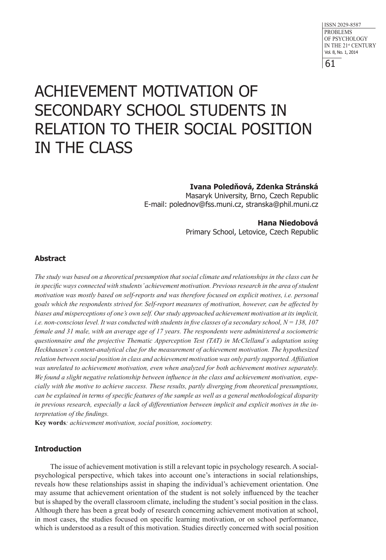# ACHIEVEMENT MOTIVATION OF SECONDARY SCHOOL STUDENTS IN RELATION TO THEIR SOCIAL POSITION IN THE CLASS

**Ivana Poledňová, Zdenka Stránská**

Masaryk University, Brno, Czech Republic E-mail: polednov@fss.muni.cz, stranska@phil.muni.cz

**Hana Niedobová**

Primary School, Letovice, Czech Republic

# **Abstract**

*The study was based on a theoretical presumption that social climate and relationships in the class can be in specific ways connected with students' achievement motivation. Previous research in the area of student motivation was mostly based on self-reports and was therefore focused on explicit motives, i.e. personal goals which the respondents strived for. Self-report measures of motivation, however, can be affected by biases and misperceptions of one's own self. Our study approached achievement motivation at its implicit, i.e. non-conscious level. It was conducted with students in five classes of a secondary school, N = 138, 107 female and 31 male, with an average age of 17 years. The respondents were administered a sociometric questionnaire and the projective Thematic Apperception Test (TAT) in McClelland´s adaptation using Heckhausen´s content-analytical clue for the measurement of achievement motivation. The hypothesized relation between social position in class and achievement motivation was only partly supported. Affiliation was unrelated to achievement motivation, even when analyzed for both achievement motives separately. We found a slight negative relationship between influence in the class and achievement motivation, especially with the motive to achieve success. These results, partly diverging from theoretical presumptions, can be explained in terms of specific features of the sample as well as a general methodological disparity in previous research, especially a lack of differentiation between implicit and explicit motives in the interpretation of the findings.*

**Key words***: achievement motivation, social position, sociometry.* 

## **Introduction**

The issue of achievement motivation is still a relevant topic in psychology research. A socialpsychological perspective, which takes into account one's interactions in social relationships, reveals how these relationships assist in shaping the individual's achievement orientation. One may assume that achievement orientation of the student is not solely influenced by the teacher but is shaped by the overall classroom climate, including the student's social position in the class. Although there has been a great body of research concerning achievement motivation at school, in most cases, the studies focused on specific learning motivation, or on school performance, which is understood as a result of this motivation. Studies directly concerned with social position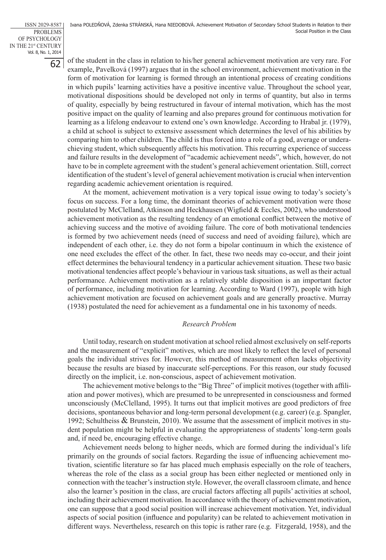of the student in the class in relation to his/her general achievement motivation are very rare. For example, Pavelková (1997) argues that in the school environment, achievement motivation in the form of motivation for learning is formed through an intentional process of creating conditions in which pupils' learning activities have a positive incentive value. Throughout the school year, motivational dispositions should be developed not only in terms of quantity, but also in terms of quality, especially by being restructured in favour of internal motivation, which has the most positive impact on the quality of learning and also prepares ground for continuous motivation for learning as a lifelong endeavour to extend one's own knowledge. According to Hrabal jr. (1979), a child at school is subject to extensive assessment which determines the level of his abilities by comparing him to other children. The child is thus forced into a role of a good, average or underachieving student, which subsequently affects his motivation. This recurring experience of success and failure results in the development of "academic achievement needs", which, however, do not have to be in complete agreement with the student's general achievement orientation. Still, correct identification of the student's level of general achievement motivation is crucial when intervention regarding academic achievement orientation is required.

At the moment, achievement motivation is a very topical issue owing to today's society's focus on success. For a long time, the dominant theories of achievement motivation were those postulated by McClelland, Atkinson and Heckhausen (Wigfield & Eccles, 2002), who understood achievement motivation as the resulting tendency of an emotional conflict between the motive of achieving success and the motive of avoiding failure. The core of both motivational tendencies is formed by two achievement needs (need of success and need of avoiding failure), which are independent of each other, i.e. they do not form a bipolar continuum in which the existence of one need excludes the effect of the other. In fact, these two needs may co-occur, and their joint effect determines the behavioural tendency in a particular achievement situation. These two basic motivational tendencies affect people's behaviour in various task situations, as well as their actual performance. Achievement motivation as a relatively stable disposition is an important factor of performance, including motivation for learning. According to Ward (1997), people with high achievement motivation are focused on achievement goals and are generally proactive. Murray (1938) postulated the need for achievement as a fundamental one in his taxonomy of needs.

## *Research Problem*

Until today, research on student motivation at school relied almost exclusively on self-reports and the measurement of "explicit" motives, which are most likely to reflect the level of personal goals the individual strives for. However, this method of measurement often lacks objectivity because the results are biased by inaccurate self-perceptions. For this reason, our study focused directly on the implicit, i.e. non-conscious, aspect of achievement motivation.

The achievement motive belongs to the "Big Three" of implicit motives (together with affiliation and power motives), which are presumed to be unrepresented in consciousness and formed unconsciously (McClelland, 1995). It turns out that implicit motives are good predictors of free decisions, spontaneous behavior and long-term personal development (e.g. career) (e.g. Spangler, 1992; Schultheiss & Brunstein, 2010). We assume that the assessment of implicit motives in student population might be helpful in evaluating the appropriateness of students' long-term goals and, if need be, encouraging effective change.

Achievement needs belong to higher needs, which are formed during the individual's life primarily on the grounds of social factors. Regarding the issue of influencing achievement motivation, scientific literature so far has placed much emphasis especially on the role of teachers, whereas the role of the class as a social group has been either neglected or mentioned only in connection with the teacher's instruction style. However, the overall classroom climate, and hence also the learner's position in the class, are crucial factors affecting all pupils' activities at school, including their achievement motivation. In accordance with the theory of achievement motivation, one can suppose that a good social position will increase achievement motivation. Yet, individual aspects of social position (influence and popularity) can be related to achievement motivation in different ways. Nevertheless, research on this topic is rather rare (e.g. Fitzgerald, 1958), and the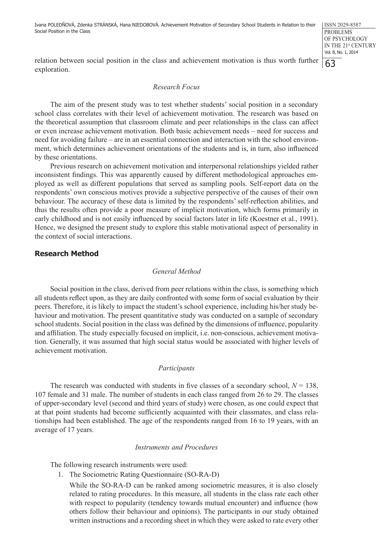relation between social position in the class and achievement motivation is thus worth further exploration.

## *Research Focus*

The aim of the present study was to test whether students' social position in a secondary school class correlates with their level of achievement motivation. The research was based on the theoretical assumption that classroom climate and peer relationships in the class can affect or even increase achievement motivation. Both basic achievement needs – need for success and need for avoiding failure – are in an essential connection and interaction with the school environment, which determines achievement orientations of the students and is, in turn, also influenced by these orientations.

Previous research on achievement motivation and interpersonal relationships yielded rather inconsistent findings. This was apparently caused by different methodological approaches employed as well as different populations that served as sampling pools. Self-report data on the respondents' own conscious motives provide a subjective perspective of the causes of their own behaviour. The accuracy of these data is limited by the respondents' self-reflection abilities, and thus the results often provide a poor measure of implicit motivation, which forms primarily in early childhood and is not easily influenced by social factors later in life (Koestner et al., 1991). Hence, we designed the present study to explore this stable motivational aspect of personality in the context of social interactions.

## **Research Method**

## *General Method*

Social position in the class, derived from peer relations within the class, is something which all students reflect upon, as they are daily confronted with some form of social evaluation by their peers. Therefore, it is likely to impact the student's school experience, including his/her study behaviour and motivation. The present quantitative study was conducted on a sample of secondary school students. Social position in the class was defined by the dimensions of influence, popularity and affiliation. The study especially focused on implicit, i.e. non-conscious, achievement motivation. Generally, it was assumed that high social status would be associated with higher levels of achievement motivation.

#### *Participants*

The research was conducted with students in five classes of a secondary school,  $N = 138$ , 107 female and 31 male. The number of students in each class ranged from 26 to 29. The classes of upper-secondary level (second and third years of study) were chosen, as one could expect that at that point students had become sufficiently acquainted with their classmates, and class relationships had been established. The age of the respondents ranged from 16 to 19 years, with an average of 17 years.

#### *Instruments and Procedures*

The following research instruments were used:

1. The Sociometric Rating Questionnaire (SO-RA-D)

While the SO-RA-D can be ranked among sociometric measures, it is also closely related to rating procedures. In this measure, all students in the class rate each other with respect to popularity (tendency towards mutual encounter) and influence (how others follow their behaviour and opinions). The participants in our study obtained written instructions and a recording sheet in which they were asked to rate every other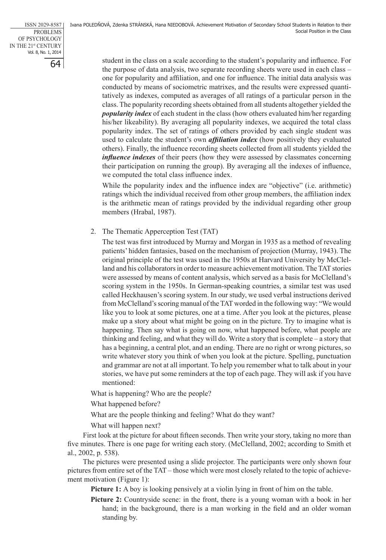student in the class on a scale according to the student's popularity and influence. For the purpose of data analysis, two separate recording sheets were used in each class – one for popularity and affiliation, and one for influence. The initial data analysis was conducted by means of sociometric matrixes, and the results were expressed quantitatively as indexes, computed as averages of all ratings of a particular person in the class. The popularity recording sheets obtained from all students altogether yielded the *popularity index* of each student in the class (how others evaluated him/her regarding his/her likeability). By averaging all popularity indexes, we acquired the total class popularity index. The set of ratings of others provided by each single student was used to calculate the student's own *affiliation index* (how positively they evaluated others). Finally, the influence recording sheets collected from all students yielded the *influence indexes* of their peers (how they were assessed by classmates concerning their participation on running the group). By averaging all the indexes of influence, we computed the total class influence index.

While the popularity index and the influence index are "objective" (i.e. arithmetic) ratings which the individual received from other group members, the affiliation index is the arithmetic mean of ratings provided by the individual regarding other group members (Hrabal, 1987).

2. The Thematic Apperception Test (TAT)

The test was first introduced by Murray and Morgan in 1935 as a method of revealing patients' hidden fantasies, based on the mechanism of projection (Murray, 1943). The original principle of the test was used in the 1950s at Harvard University by McClelland and his collaborators in order to measure achievement motivation. The TAT stories were assessed by means of content analysis, which served as a basis for McClelland's scoring system in the 1950s. In German-speaking countries, a similar test was used called Heckhausen's scoring system. In our study, we used verbal instructions derived from McClelland's scoring manual of the TAT worded in the following way: "We would like you to look at some pictures, one at a time. After you look at the pictures, please make up a story about what might be going on in the picture. Try to imagine what is happening. Then say what is going on now, what happened before, what people are thinking and feeling, and what they will do. Write a story that is complete – a story that has a beginning, a central plot, and an ending. There are no right or wrong pictures, so write whatever story you think of when you look at the picture. Spelling, punctuation and grammar are not at all important. To help you remember what to talk about in your stories, we have put some reminders at the top of each page. They will ask if you have mentioned:

What is happening? Who are the people?

What happened before?

What are the people thinking and feeling? What do they want?

What will happen next?

First look at the picture for about fifteen seconds. Then write your story, taking no more than five minutes. There is one page for writing each story. (McClelland, 2002; according to Smith et al., 2002, p. 538).

The pictures were presented using a slide projector. The participants were only shown four pictures from entire set of the TAT – those which were most closely related to the topic of achievement motivation (Figure 1):

Picture 1: A boy is looking pensively at a violin lying in front of him on the table.

Picture 2: Countryside scene: in the front, there is a young woman with a book in her hand; in the background, there is a man working in the field and an older woman standing by.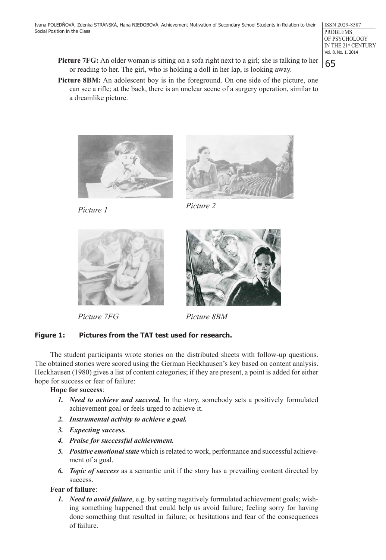- **Picture 7FG:** An older woman is sitting on a sofa right next to a girl; she is talking to her or reading to her. The girl, who is holding a doll in her lap, is looking away.
- **Picture 8BM:** An adolescent boy is in the foreground. On one side of the picture, one can see a rifle; at the back, there is an unclear scene of a surgery operation, similar to a dreamlike picture.





*Picture 1 Picture 2*



*Picture 7FG Picture 8BM*



# **Figure 1: Pictures from the TAT test used for research.**

The student participants wrote stories on the distributed sheets with follow-up questions. The obtained stories were scored using the German Heckhausen's key based on content analysis. Heckhausen (1980) gives a list of content categories; if they are present, a point is added for either hope for success or fear of failure:

# **Hope for success**:

- *1. Need to achieve and succeed.* In the story, somebody sets a positively formulated achievement goal or feels urged to achieve it.
- *2. Instrumental activity to achieve a goal.*
- *3. Expecting success.*
- *4. Praise for successful achievement.*
- *5. Positive emotional state* which is related to work, performance and successful achievement of a goal.
- *6. Topic of success* as a semantic unit if the story has a prevailing content directed by success.

# **Fear of failure**:

*1. Need to avoid failure*, e.g. by setting negatively formulated achievement goals; wishing something happened that could help us avoid failure; feeling sorry for having done something that resulted in failure; or hesitations and fear of the consequences of failure.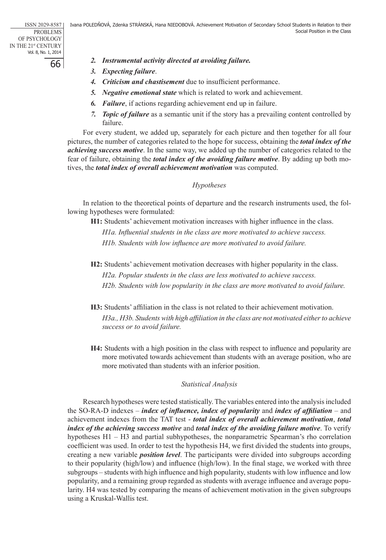- *2. Instrumental activity directed at avoiding failure.*
- *3. Expecting failure*.
- *4. Criticism and chastisement* due to insufficient performance.
- *5. Negative emotional state* which is related to work and achievement.
- *6. Failure*, if actions regarding achievement end up in failure.
- *7. Topic of failure* as a semantic unit if the story has a prevailing content controlled by failure.

For every student, we added up, separately for each picture and then together for all four pictures, the number of categories related to the hope for success, obtaining the *total index of the achieving success motive*. In the same way, we added up the number of categories related to the fear of failure, obtaining the *total index of the avoiding failure motive*. By adding up both motives, the *total index of overall achievement motivation* was computed.

## *Hypotheses*

In relation to the theoretical points of departure and the research instruments used, the following hypotheses were formulated:

**H1:** Students' achievement motivation increases with higher influence in the class.

*H1a. Influential students in the class are more motivated to achieve success. H1b. Students with low influence are more motivated to avoid failure.*

- **H2:** Students' achievement motivation decreases with higher popularity in the class. *H2a. Popular students in the class are less motivated to achieve success. H2b. Students with low popularity in the class are more motivated to avoid failure.*
- **H3:** Students' affiliation in the class is not related to their achievement motivation. *H3a., H3b. Students with high affiliation in the class are not motivated either to achieve success or to avoid failure.*
- **H4:** Students with a high position in the class with respect to influence and popularity are more motivated towards achievement than students with an average position, who are more motivated than students with an inferior position.

## *Statistical Analysis*

Research hypotheses were tested statistically. The variables entered into the analysis included the SO-RA-D indexes – *index of influence, index of popularity* and *index of affiliation* – and achievement indexes from the TAT test - *total index of overall achievement motivation*, *total index of the achieving success motive* and *total index of the avoiding failure motive*. To verify hypotheses H1 – H3 and partial subhypotheses, the nonparametric Spearman's rho correlation coefficient was used. In order to test the hypothesis H4, we first divided the students into groups, creating a new variable *position level*. The participants were divided into subgroups according to their popularity (high/low) and influence (high/low). In the final stage, we worked with three subgroups – students with high influence and high popularity, students with low influence and low popularity, and a remaining group regarded as students with average influence and average popularity. H4 was tested by comparing the means of achievement motivation in the given subgroups using a Kruskal-Wallis test.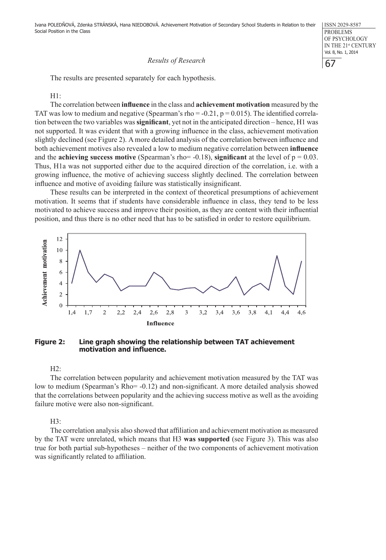Ivana POLEDŇOVÁ, Zdenka STRÁNSKÁ, Hana NIEDOBOVÁ. Achievement Motivation of Secondary School Students in Relation to their Social Position in the Class

## *Results of Research*

The results are presented separately for each hypothesis.

 $H1$ 

The correlation between **influence** in the class and **achievement motivation** measured by the TAT was low to medium and negative (Spearman's rho =  $-0.21$ , p = 0.015). The identified correlation between the two variables was **significant**, yet not in the anticipated direction – hence, H1 was not supported. It was evident that with a growing influence in the class, achievement motivation slightly declined (see Figure 2). A more detailed analysis of the correlation between influence and both achievement motives also revealed a low to medium negative correlation between **influence**  and the **achieving success motive** (Spearman's rho=  $-0.18$ ), **significant** at the level of  $p = 0.03$ . Thus, H1a was not supported either due to the acquired direction of the correlation, i.e. with a growing influence, the motive of achieving success slightly declined. The correlation between influence and motive of avoiding failure was statistically insignificant.

These results can be interpreted in the context of theoretical presumptions of achievement motivation. It seems that if students have considerable influence in class, they tend to be less motivated to achieve success and improve their position, as they are content with their influential position, and thus there is no other need that has to be satisfied in order to restore equilibrium.



## **Figure 2: Line graph showing the relationship between TAT achievement motivation and influence.**

 $H2:$ 

The correlation between popularity and achievement motivation measured by the TAT was low to medium (Spearman's Rho= -0.12) and non-significant. A more detailed analysis showed that the correlations between popularity and the achieving success motive as well as the avoiding failure motive were also non-significant.

H3:

The correlation analysis also showed that affiliation and achievement motivation as measured by the TAT were unrelated, which means that H3 **was supported** (see Figure 3). This was also true for both partial sub-hypotheses – neither of the two components of achievement motivation was significantly related to affiliation.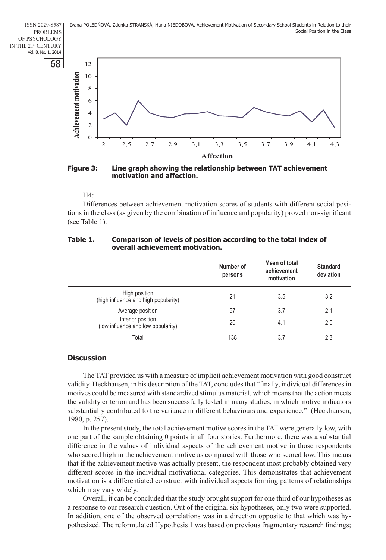Ivana POLEDŇOVÁ, Zdenka STRÁNSKÁ, Hana NIEDOBOVÁ. Achievement Motivation of Secondary School Students in Relation to their Social Position in the Class

68 ISSN 2029-8587 PROBLEMS OF PSYCHOLOGY IN THE 21st CENTURY Vol. 8, No. 1, 2014



**Figure 3: Line graph showing the relationship between TAT achievement motivation and affection.** 

#### $H4$

Differences between achievement motivation scores of students with different social positions in the class (as given by the combination of influence and popularity) proved non-significant (see Table 1).

| Table 1. | Comparison of levels of position according to the total index of |
|----------|------------------------------------------------------------------|
|          | overall achievement motivation.                                  |

|                                                         | Number of<br>persons | Mean of total<br>achievement<br>motivation | <b>Standard</b><br>deviation |
|---------------------------------------------------------|----------------------|--------------------------------------------|------------------------------|
| High position<br>(high influence and high popularity)   | 21                   | 3.5                                        | 3.2                          |
| Average position                                        | 97                   | 3.7                                        | 2.1                          |
| Inferior position<br>(low influence and low popularity) | 20                   | 4.1                                        | 2.0                          |
| Total                                                   | 138                  | 3.7                                        | 2.3                          |

## **Discussion**

The TAT provided us with a measure of implicit achievement motivation with good construct validity. Heckhausen, in his description of the TAT, concludes that "finally, individual differences in motives could be measured with standardized stimulus material, which means that the action meets the validity criterion and has been successfully tested in many studies, in which motive indicators substantially contributed to the variance in different behaviours and experience." (Heckhausen, 1980, p. 257).

In the present study, the total achievement motive scores in the TAT were generally low, with one part of the sample obtaining 0 points in all four stories. Furthermore, there was a substantial difference in the values of individual aspects of the achievement motive in those respondents who scored high in the achievement motive as compared with those who scored low. This means that if the achievement motive was actually present, the respondent most probably obtained very different scores in the individual motivational categories. This demonstrates that achievement motivation is a differentiated construct with individual aspects forming patterns of relationships which may vary widely.

Overall, it can be concluded that the study brought support for one third of our hypotheses as a response to our research question. Out of the original six hypotheses, only two were supported. In addition, one of the observed correlations was in a direction opposite to that which was hypothesized. The reformulated Hypothesis 1 was based on previous fragmentary research findings;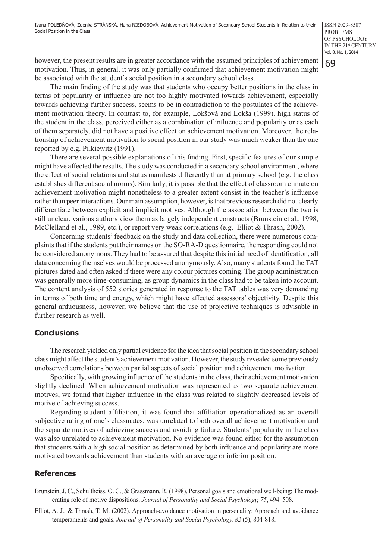69

however, the present results are in greater accordance with the assumed principles of achievement motivation. Thus, in general, it was only partially confirmed that achievement motivation might be associated with the student's social position in a secondary school class.

The main finding of the study was that students who occupy better positions in the class in terms of popularity or influence are not too highly motivated towards achievement, especially towards achieving further success, seems to be in contradiction to the postulates of the achievement motivation theory. In contrast to, for example, Lokšová and Lokša (1999), high status of the student in the class, perceived either as a combination of influence and popularity or as each of them separately, did not have a positive effect on achievement motivation. Moreover, the relationship of achievement motivation to social position in our study was much weaker than the one reported by e.g. Pilkiewitz (1991).

There are several possible explanations of this finding. First, specific features of our sample might have affected the results. The study was conducted in a secondary school environment, where the effect of social relations and status manifests differently than at primary school (e.g. the class establishes different social norms). Similarly, it is possible that the effect of classroom climate on achievement motivation might nonetheless to a greater extent consist in the teacher's influence rather than peer interactions. Our main assumption, however, is that previous research did not clearly differentiate between explicit and implicit motives. Although the association between the two is still unclear, various authors view them as largely independent constructs (Brunstein et al., 1998, McClelland et al., 1989, etc.), or report very weak correlations (e.g. Elliot & Thrash, 2002).

Concerning students' feedback on the study and data collection, there were numerous complaints that if the students put their names on the SO-RA-D questionnaire, the responding could not be considered anonymous. They had to be assured that despite this initial need of identification, all data concerning themselves would be processed anonymously. Also, many students found the TAT pictures dated and often asked if there were any colour pictures coming. The group administration was generally more time-consuming, as group dynamics in the class had to be taken into account. The content analysis of 552 stories generated in response to the TAT tables was very demanding in terms of both time and energy, which might have affected assessors' objectivity. Despite this general arduousness, however, we believe that the use of projective techniques is advisable in further research as well.

## **Conclusions**

The research yielded only partial evidence for the idea that social position in the secondary school class might affect the student's achievement motivation. However, the study revealed some previously unobserved correlations between partial aspects of social position and achievement motivation.

Specifically, with growing influence of the students in the class, their achievement motivation slightly declined. When achievement motivation was represented as two separate achievement motives, we found that higher influence in the class was related to slightly decreased levels of motive of achieving success.

Regarding student affiliation, it was found that affiliation operationalized as an overall subjective rating of one's classmates, was unrelated to both overall achievement motivation and the separate motives of achieving success and avoiding failure. Students' popularity in the class was also unrelated to achievement motivation. No evidence was found either for the assumption that students with a high social position as determined by both influence and popularity are more motivated towards achievement than students with an average or inferior position.

## **References**

Brunstein, J. C., Schultheiss, O. C., & Grässmann, R. (1998). Personal goals and emotional well-being: The moderating role of motive dispositions. *Journal of Personality and Social Psychology, 75*, 494–508.

Elliot, A. J., & Thrash, T. M. (2002). Approach-avoidance motivation in personality: Approach and avoidance temperaments and goals. *Journal of Personality and Social Psychology, 82* (5), 804-818.